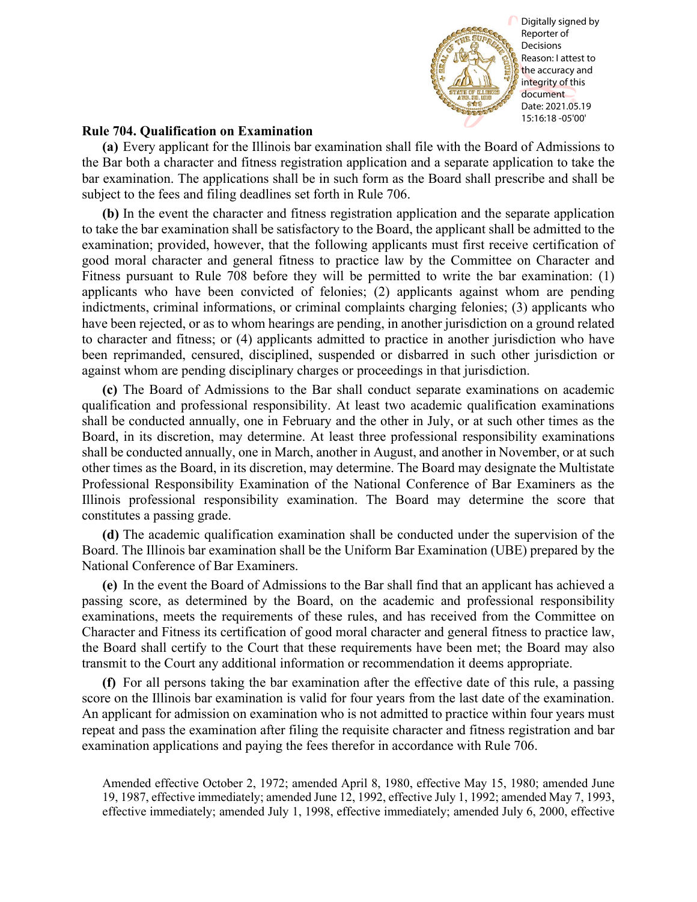

## **Rule 704. Qualification on Examination**

**(a)** Every applicant for the Illinois bar examination shall file with the Board of Admissions to the Bar both a character and fitness registration application and a separate application to take the bar examination. The applications shall be in such form as the Board shall prescribe and shall be subject to the fees and filing deadlines set forth in Rule 706.

**(b)** In the event the character and fitness registration application and the separate application to take the bar examination shall be satisfactory to the Board, the applicant shall be admitted to the examination; provided, however, that the following applicants must first receive certification of good moral character and general fitness to practice law by the Committee on Character and Fitness pursuant to Rule 708 before they will be permitted to write the bar examination: (1) applicants who have been convicted of felonies; (2) applicants against whom are pending indictments, criminal informations, or criminal complaints charging felonies; (3) applicants who have been rejected, or as to whom hearings are pending, in another jurisdiction on a ground related to character and fitness; or (4) applicants admitted to practice in another jurisdiction who have been reprimanded, censured, disciplined, suspended or disbarred in such other jurisdiction or against whom are pending disciplinary charges or proceedings in that jurisdiction.

**(c)** The Board of Admissions to the Bar shall conduct separate examinations on academic qualification and professional responsibility. At least two academic qualification examinations shall be conducted annually, one in February and the other in July, or at such other times as the Board, in its discretion, may determine. At least three professional responsibility examinations shall be conducted annually, one in March, another in August, and another in November, or at such other times as the Board, in its discretion, may determine. The Board may designate the Multistate Professional Responsibility Examination of the National Conference of Bar Examiners as the Illinois professional responsibility examination. The Board may determine the score that constitutes a passing grade.

**(d)** The academic qualification examination shall be conducted under the supervision of the Board. The Illinois bar examination shall be the Uniform Bar Examination (UBE) prepared by the National Conference of Bar Examiners.

**(e)** In the event the Board of Admissions to the Bar shall find that an applicant has achieved a passing score, as determined by the Board, on the academic and professional responsibility examinations, meets the requirements of these rules, and has received from the Committee on Character and Fitness its certification of good moral character and general fitness to practice law, the Board shall certify to the Court that these requirements have been met; the Board may also transmit to the Court any additional information or recommendation it deems appropriate.

**(f)** For all persons taking the bar examination after the effective date of this rule, a passing score on the Illinois bar examination is valid for four years from the last date of the examination. An applicant for admission on examination who is not admitted to practice within four years must repeat and pass the examination after filing the requisite character and fitness registration and bar examination applications and paying the fees therefor in accordance with Rule 706.

Amended effective October 2, 1972; amended April 8, 1980, effective May 15, 1980; amended June 19, 1987, effective immediately; amended June 12, 1992, effective July 1, 1992; amended May 7, 1993, effective immediately; amended July 1, 1998, effective immediately; amended July 6, 2000, effective